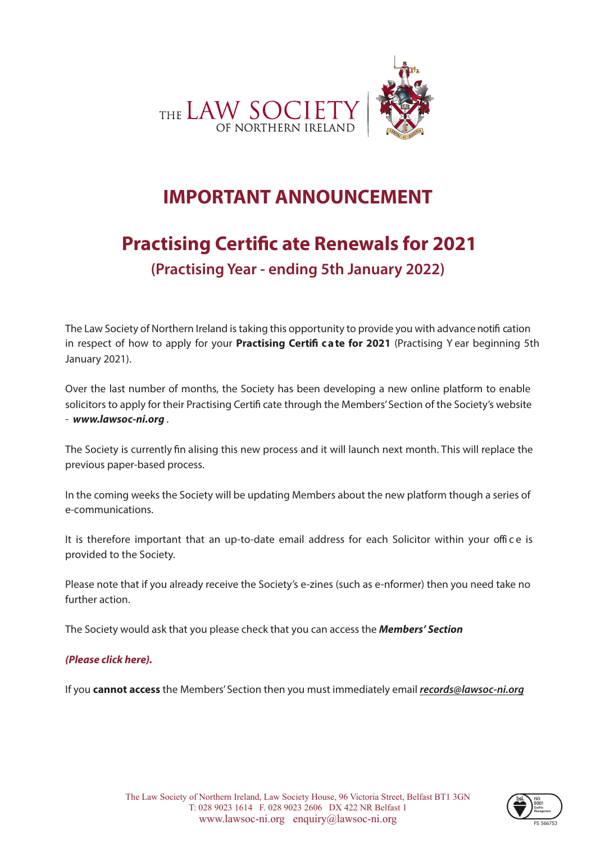

# **IMPORTANT ANNOUNCEMENT**

# **Practising Certific ate Renewals for 2021 (Practising Year - ending 5th January 2022)**

The Law Society of Northern Ireland is taking this opportunity to provide you with advancenotifi cation in respect of how to apply for your **Practising Certifi ca te for 2021** (Practising Y ear beginning 5th January 2021).

Over the last number of months, the Society has been developing a new online platform to enable solicitors to apply for their Practising Certifi cate through the Members' Section of the Society's website - *www.lawsoc-ni.org* .

The Society is currently fin alising this new process and it will launch next month. This will replace the previous paper-based process.

In the coming weeks the Society will be updating Members about the new platform though a series of e-communications.

It is therefore important that an up-to-date email address for each Solicitor within your office is provided to the Society.

Please note that if you already receive the Society's e-zines (such as e-nformer) then you need take no further action.

The Society would ask that you please check that you can access the *Members' Section* 

### *[\(Please click here\).](https://www.lawsoc-ni.org/login.aspx?ReturnUrl=%2Fmembers%2F)*

If you **cannot access** the Members' Section then you must immediately email *records@lawsoc-ni.org* 

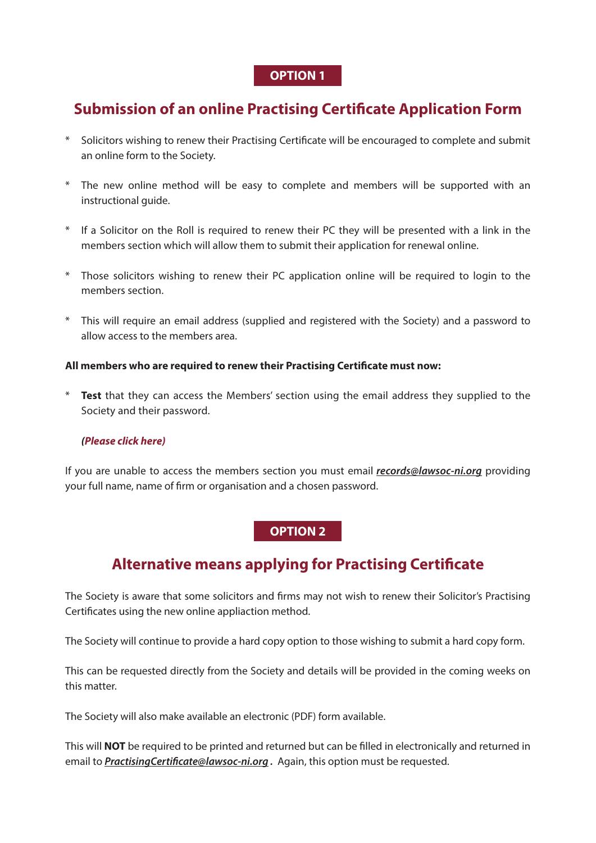### **OPTION 1**

# **Submission of an online Practising Certificate Application Form**

- \* Solicitors wishing to renew their Practising Certificate will be encouraged to complete and submit an online form to the Society.
- \* The new online method will be easy to complete and members will be supported with an instructional guide.
- \* If a Solicitor on the Roll is required to renew their PC they will be presented with a link in the members section which will allow them to submit their application for renewal online.
- \* Those solicitors wishing to renew their PC application online will be required to login to the members section.
- \* This will require an email address (supplied and registered with the Society) and a password to allow access to the members area.

### **All members who are required to renew their Practising Certificate must now:**

\* **Test** that they can access the Members' section using the email address they supplied to the Society and their password.

#### *[\(Please click here\)](https://www.lawsoc-ni.org/member-login.aspx?ReturnUrl=/)*

If you are unable to access the members section you must email *records@lawsoc-ni.org* providing your full name, name of firm or organisation and a chosen password.

## **OPTION 2**

# **Alternative means applying for Practising Certificate**

The Society is aware that some solicitors and firms may not wish to renew their Solicitor's Practising Certificates using the new online appliaction method.

The Society will continue to provide a hard copy option to those wishing to submit a hard copy form.

This can be requested directly from the Society and details will be provided in the coming weeks on this matter.

The Society will also make available an electronic (PDF) form available.

This will **NOT** be required to be printed and returned but can be filled in electronically and returned in email to *PractisingCertificate@lawsoc-ni.org .* Again, this option must be requested.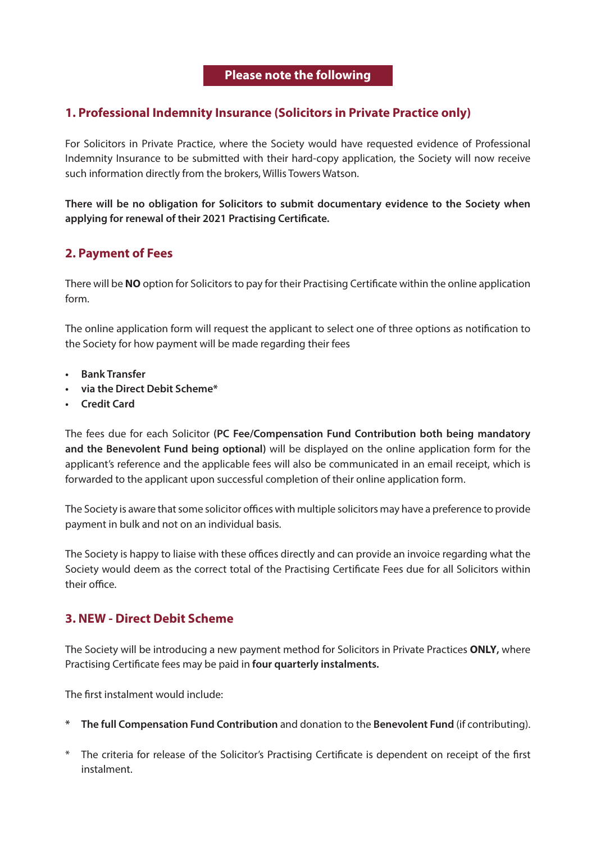# **1. Professional Indemnity Insurance (Solicitors in Private Practice only)**

For Solicitors in Private Practice, where the Society would have requested evidence of Professional Indemnity Insurance to be submitted with their hard-copy application, the Society will now receive such information directly from the brokers, Willis Towers Watson.

**There will be no obligation for Solicitors to submit documentary evidence to the Society when applying for renewal of their 2021 Practising Certificate.**

## **2. Payment of Fees**

There will be **NO** option for Solicitors to pay for their Practising Certificate within the online application form.

The online application form will request the applicant to select one of three options as notification to the Society for how payment will be made regarding their fees

- **• Bank Transfer**
- **• via the Direct Debit Scheme\***
- **• Credit Card**

The fees due for each Solicitor **(PC Fee/Compensation Fund Contribution both being mandatory and the Benevolent Fund being optional)** will be displayed on the online application form for the applicant's reference and the applicable fees will also be communicated in an email receipt, which is forwarded to the applicant upon successful completion of their online application form.

The Society is aware that some solicitor offices with multiple solicitors may have a preference to provide payment in bulk and not on an individual basis.

The Society is happy to liaise with these offices directly and can provide an invoice regarding what the Society would deem as the correct total of the Practising Certificate Fees due for all Solicitors within their office.

### **3. NEW - Direct Debit Scheme**

The Society will be introducing a new payment method for Solicitors in Private Practices **ONLY,** where Practising Certificate fees may be paid in **four quarterly instalments.**

The first instalment would include:

- **\* The full Compensation Fund Contribution** and donation to the **Benevolent Fund** (if contributing).
- \* The criteria for release of the Solicitor's Practising Certificate is dependent on receipt of the first instalment.